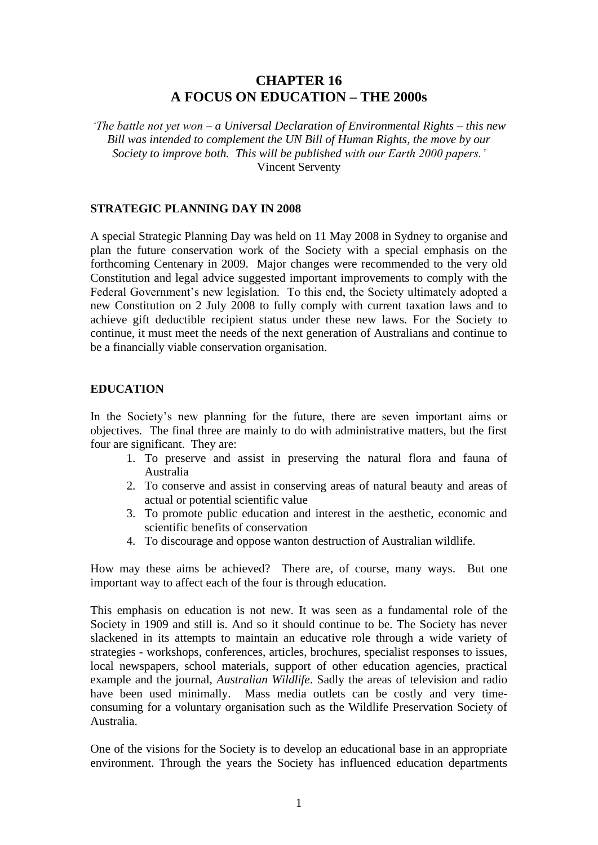# **CHAPTER 16 A FOCUS ON EDUCATION – THE 2000s**

*'The battle not yet won – a Universal Declaration of Environmental Rights – this new Bill was intended to complement the UN Bill of Human Rights, the move by our Society to improve both. This will be published with our Earth 2000 papers.'* Vincent Serventy

# **STRATEGIC PLANNING DAY IN 2008**

A special Strategic Planning Day was held on 11 May 2008 in Sydney to organise and plan the future conservation work of the Society with a special emphasis on the forthcoming Centenary in 2009. Major changes were recommended to the very old Constitution and legal advice suggested important improvements to comply with the Federal Government's new legislation. To this end, the Society ultimately adopted a new Constitution on 2 July 2008 to fully comply with current taxation laws and to achieve gift deductible recipient status under these new laws. For the Society to continue, it must meet the needs of the next generation of Australians and continue to be a financially viable conservation organisation.

# **EDUCATION**

In the Society's new planning for the future, there are seven important aims or objectives. The final three are mainly to do with administrative matters, but the first four are significant. They are:

- 1. To preserve and assist in preserving the natural flora and fauna of Australia
- 2. To conserve and assist in conserving areas of natural beauty and areas of actual or potential scientific value
- 3. To promote public education and interest in the aesthetic, economic and scientific benefits of conservation
- 4. To discourage and oppose wanton destruction of Australian wildlife.

How may these aims be achieved? There are, of course, many ways. But one important way to affect each of the four is through education.

This emphasis on education is not new. It was seen as a fundamental role of the Society in 1909 and still is. And so it should continue to be. The Society has never slackened in its attempts to maintain an educative role through a wide variety of strategies - workshops, conferences, articles, brochures, specialist responses to issues, local newspapers, school materials, support of other education agencies, practical example and the journal, *Australian Wildlife*. Sadly the areas of television and radio have been used minimally. Mass media outlets can be costly and very timeconsuming for a voluntary organisation such as the Wildlife Preservation Society of Australia.

One of the visions for the Society is to develop an educational base in an appropriate environment. Through the years the Society has influenced education departments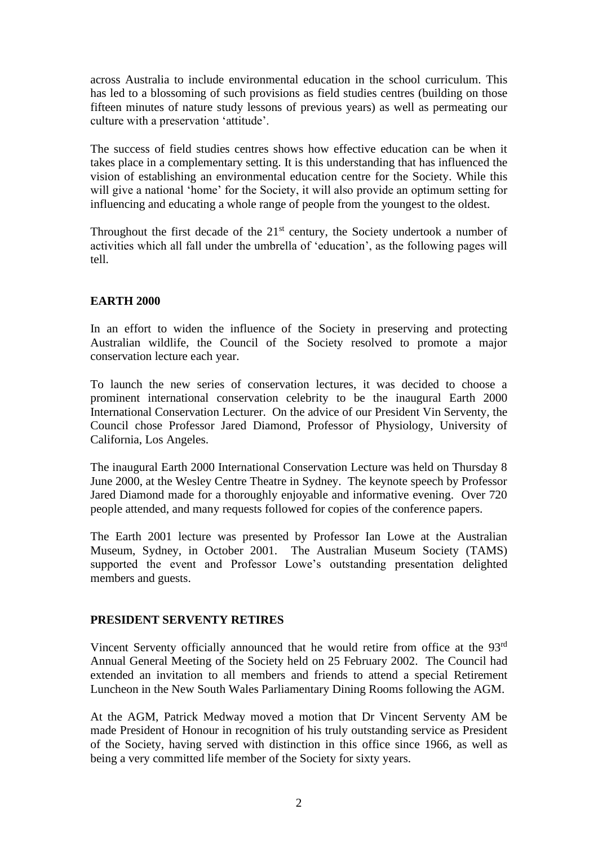across Australia to include environmental education in the school curriculum. This has led to a blossoming of such provisions as field studies centres (building on those fifteen minutes of nature study lessons of previous years) as well as permeating our culture with a preservation 'attitude'.

The success of field studies centres shows how effective education can be when it takes place in a complementary setting. It is this understanding that has influenced the vision of establishing an environmental education centre for the Society. While this will give a national 'home' for the Society, it will also provide an optimum setting for influencing and educating a whole range of people from the youngest to the oldest.

Throughout the first decade of the  $21<sup>st</sup>$  century, the Society undertook a number of activities which all fall under the umbrella of 'education', as the following pages will tell.

# **EARTH 2000**

In an effort to widen the influence of the Society in preserving and protecting Australian wildlife, the Council of the Society resolved to promote a major conservation lecture each year.

To launch the new series of conservation lectures, it was decided to choose a prominent international conservation celebrity to be the inaugural Earth 2000 International Conservation Lecturer. On the advice of our President Vin Serventy, the Council chose Professor Jared Diamond, Professor of Physiology, University of California, Los Angeles.

The inaugural Earth 2000 International Conservation Lecture was held on Thursday 8 June 2000, at the Wesley Centre Theatre in Sydney. The keynote speech by Professor Jared Diamond made for a thoroughly enjoyable and informative evening. Over 720 people attended, and many requests followed for copies of the conference papers.

The Earth 2001 lecture was presented by Professor Ian Lowe at the Australian Museum, Sydney, in October 2001. The Australian Museum Society (TAMS) supported the event and Professor Lowe's outstanding presentation delighted members and guests.

# **PRESIDENT SERVENTY RETIRES**

Vincent Serventy officially announced that he would retire from office at the 93rd Annual General Meeting of the Society held on 25 February 2002. The Council had extended an invitation to all members and friends to attend a special Retirement Luncheon in the New South Wales Parliamentary Dining Rooms following the AGM.

At the AGM, Patrick Medway moved a motion that Dr Vincent Serventy AM be made President of Honour in recognition of his truly outstanding service as President of the Society, having served with distinction in this office since 1966, as well as being a very committed life member of the Society for sixty years.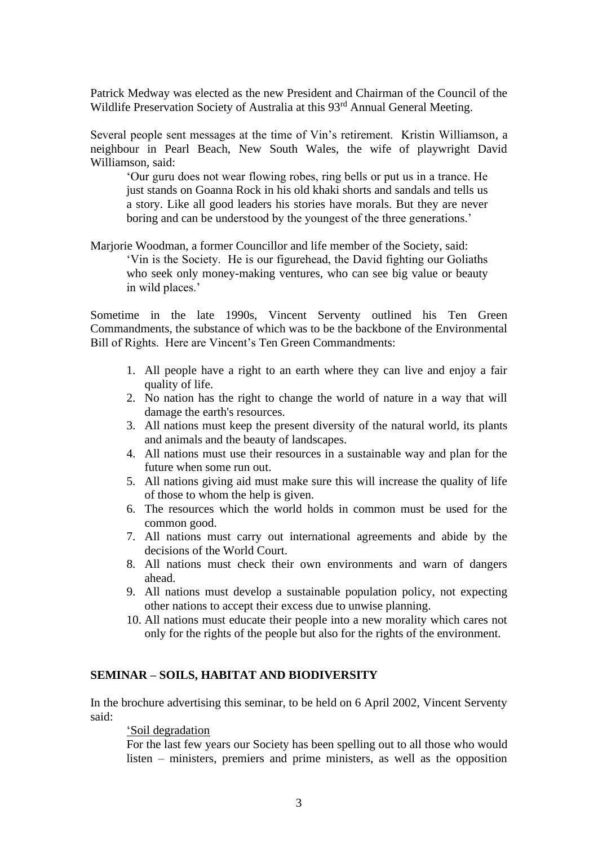Patrick Medway was elected as the new President and Chairman of the Council of the Wildlife Preservation Society of Australia at this 93<sup>rd</sup> Annual General Meeting.

Several people sent messages at the time of Vin's retirement. Kristin Williamson, a neighbour in Pearl Beach, New South Wales, the wife of playwright David Williamson, said:

'Our guru does not wear flowing robes, ring bells or put us in a trance. He just stands on Goanna Rock in his old khaki shorts and sandals and tells us a story. Like all good leaders his stories have morals. But they are never boring and can be understood by the youngest of the three generations.'

Marjorie Woodman, a former Councillor and life member of the Society, said: 'Vin is the Society. He is our figurehead, the David fighting our Goliaths who seek only money-making ventures, who can see big value or beauty in wild places.'

Sometime in the late 1990s, Vincent Serventy outlined his Ten Green Commandments, the substance of which was to be the backbone of the Environmental Bill of Rights. Here are Vincent's Ten Green Commandments:

- 1. All people have a right to an earth where they can live and enjoy a fair quality of life.
- 2. No nation has the right to change the world of nature in a way that will damage the earth's resources.
- 3. All nations must keep the present diversity of the natural world, its plants and animals and the beauty of landscapes.
- 4. All nations must use their resources in a sustainable way and plan for the future when some run out.
- 5. All nations giving aid must make sure this will increase the quality of life of those to whom the help is given.
- 6. The resources which the world holds in common must be used for the common good.
- 7. All nations must carry out international agreements and abide by the decisions of the World Court.
- 8. All nations must check their own environments and warn of dangers ahead.
- 9. All nations must develop a sustainable population policy, not expecting other nations to accept their excess due to unwise planning.
- 10. All nations must educate their people into a new morality which cares not only for the rights of the people but also for the rights of the environment.

# **SEMINAR – SOILS, HABITAT AND BIODIVERSITY**

In the brochure advertising this seminar, to be held on 6 April 2002, Vincent Serventy said:

### 'Soil degradation

For the last few years our Society has been spelling out to all those who would listen – ministers, premiers and prime ministers, as well as the opposition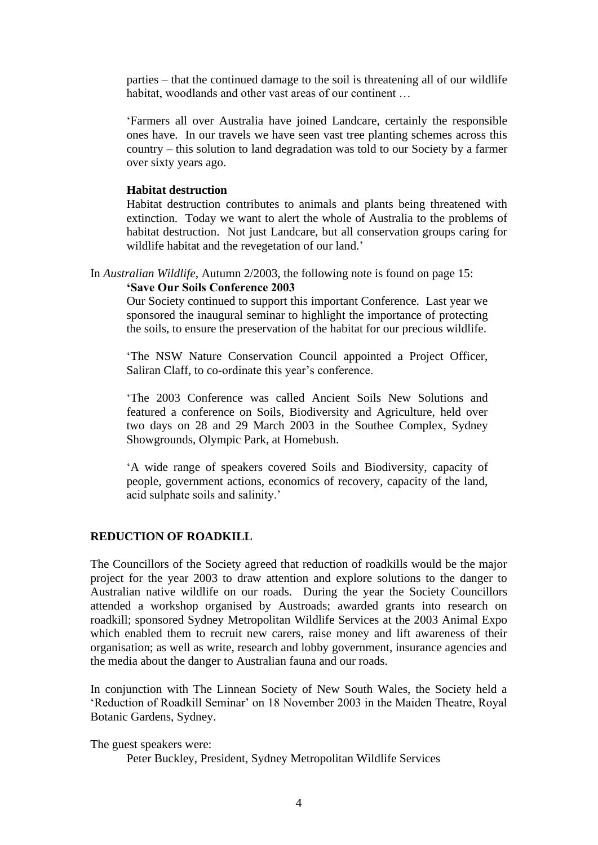parties – that the continued damage to the soil is threatening all of our wildlife habitat, woodlands and other vast areas of our continent ...

'Farmers all over Australia have joined Landcare, certainly the responsible ones have. In our travels we have seen vast tree planting schemes across this country – this solution to land degradation was told to our Society by a farmer over sixty years ago.

#### **Habitat destruction**

Habitat destruction contributes to animals and plants being threatened with extinction. Today we want to alert the whole of Australia to the problems of habitat destruction. Not just Landcare, but all conservation groups caring for wildlife habitat and the revegetation of our land.'

In *Australian Wildlife*, Autumn 2/2003, the following note is found on page 15: **'Save Our Soils Conference 2003**

Our Society continued to support this important Conference. Last year we sponsored the inaugural seminar to highlight the importance of protecting the soils, to ensure the preservation of the habitat for our precious wildlife.

'The NSW Nature Conservation Council appointed a Project Officer, Saliran Claff, to co-ordinate this year's conference.

'The 2003 Conference was called Ancient Soils New Solutions and featured a conference on Soils, Biodiversity and Agriculture, held over two days on 28 and 29 March 2003 in the Southee Complex, Sydney Showgrounds, Olympic Park, at Homebush.

'A wide range of speakers covered Soils and Biodiversity, capacity of people, government actions, economics of recovery, capacity of the land, acid sulphate soils and salinity.'

# **REDUCTION OF ROADKILL**

The Councillors of the Society agreed that reduction of roadkills would be the major project for the year 2003 to draw attention and explore solutions to the danger to Australian native wildlife on our roads. During the year the Society Councillors attended a workshop organised by Austroads; awarded grants into research on roadkill; sponsored Sydney Metropolitan Wildlife Services at the 2003 Animal Expo which enabled them to recruit new carers, raise money and lift awareness of their organisation; as well as write, research and lobby government, insurance agencies and the media about the danger to Australian fauna and our roads.

In conjunction with The Linnean Society of New South Wales, the Society held a 'Reduction of Roadkill Seminar' on 18 November 2003 in the Maiden Theatre, Royal Botanic Gardens, Sydney.

The guest speakers were:

Peter Buckley, President, Sydney Metropolitan Wildlife Services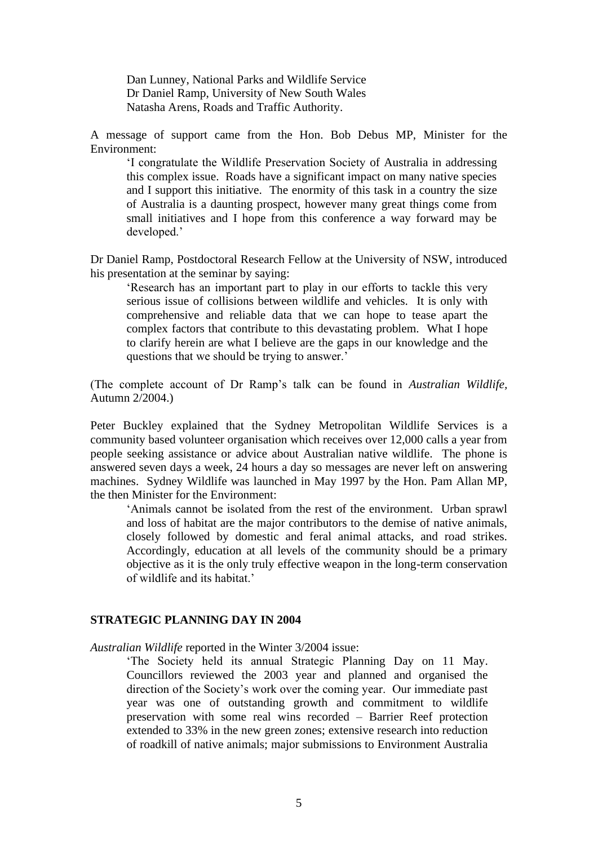Dan Lunney, National Parks and Wildlife Service Dr Daniel Ramp, University of New South Wales Natasha Arens, Roads and Traffic Authority.

A message of support came from the Hon. Bob Debus MP, Minister for the Environment:

'I congratulate the Wildlife Preservation Society of Australia in addressing this complex issue. Roads have a significant impact on many native species and I support this initiative. The enormity of this task in a country the size of Australia is a daunting prospect, however many great things come from small initiatives and I hope from this conference a way forward may be developed.'

Dr Daniel Ramp, Postdoctoral Research Fellow at the University of NSW, introduced his presentation at the seminar by saying:

'Research has an important part to play in our efforts to tackle this very serious issue of collisions between wildlife and vehicles. It is only with comprehensive and reliable data that we can hope to tease apart the complex factors that contribute to this devastating problem. What I hope to clarify herein are what I believe are the gaps in our knowledge and the questions that we should be trying to answer.'

(The complete account of Dr Ramp's talk can be found in *Australian Wildlife,* Autumn 2/2004.)

Peter Buckley explained that the Sydney Metropolitan Wildlife Services is a community based volunteer organisation which receives over 12,000 calls a year from people seeking assistance or advice about Australian native wildlife. The phone is answered seven days a week, 24 hours a day so messages are never left on answering machines. Sydney Wildlife was launched in May 1997 by the Hon. Pam Allan MP, the then Minister for the Environment:

'Animals cannot be isolated from the rest of the environment. Urban sprawl and loss of habitat are the major contributors to the demise of native animals, closely followed by domestic and feral animal attacks, and road strikes. Accordingly, education at all levels of the community should be a primary objective as it is the only truly effective weapon in the long-term conservation of wildlife and its habitat.'

#### **STRATEGIC PLANNING DAY IN 2004**

*Australian Wildlife* reported in the Winter 3/2004 issue:

'The Society held its annual Strategic Planning Day on 11 May. Councillors reviewed the 2003 year and planned and organised the direction of the Society's work over the coming year. Our immediate past year was one of outstanding growth and commitment to wildlife preservation with some real wins recorded – Barrier Reef protection extended to 33% in the new green zones; extensive research into reduction of roadkill of native animals; major submissions to Environment Australia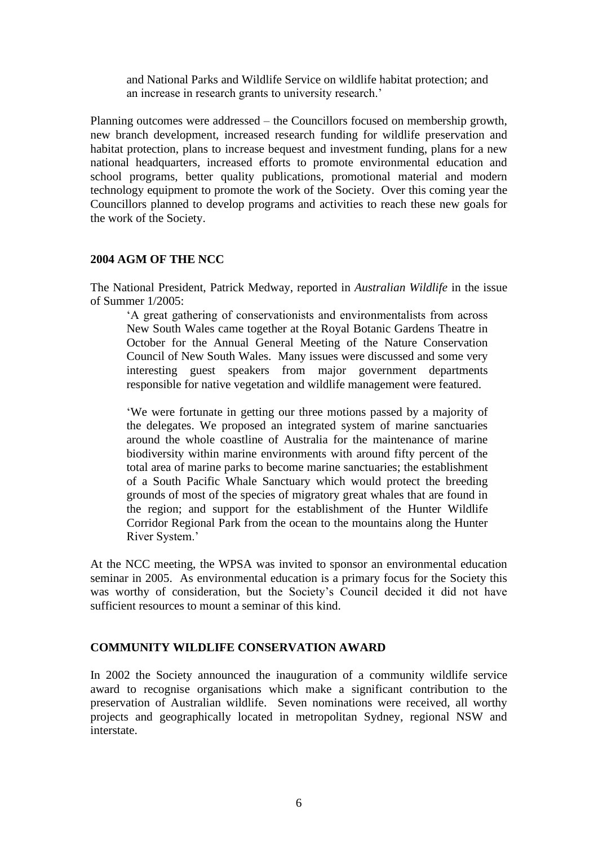and National Parks and Wildlife Service on wildlife habitat protection; and an increase in research grants to university research.'

Planning outcomes were addressed – the Councillors focused on membership growth, new branch development, increased research funding for wildlife preservation and habitat protection, plans to increase bequest and investment funding, plans for a new national headquarters, increased efforts to promote environmental education and school programs, better quality publications, promotional material and modern technology equipment to promote the work of the Society. Over this coming year the Councillors planned to develop programs and activities to reach these new goals for the work of the Society.

# **2004 AGM OF THE NCC**

The National President, Patrick Medway, reported in *Australian Wildlife* in the issue of Summer 1/2005:

'A great gathering of conservationists and environmentalists from across New South Wales came together at the Royal Botanic Gardens Theatre in October for the Annual General Meeting of the Nature Conservation Council of New South Wales. Many issues were discussed and some very interesting guest speakers from major government departments responsible for native vegetation and wildlife management were featured.

'We were fortunate in getting our three motions passed by a majority of the delegates. We proposed an integrated system of marine sanctuaries around the whole coastline of Australia for the maintenance of marine biodiversity within marine environments with around fifty percent of the total area of marine parks to become marine sanctuaries; the establishment of a South Pacific Whale Sanctuary which would protect the breeding grounds of most of the species of migratory great whales that are found in the region; and support for the establishment of the Hunter Wildlife Corridor Regional Park from the ocean to the mountains along the Hunter River System.'

At the NCC meeting, the WPSA was invited to sponsor an environmental education seminar in 2005. As environmental education is a primary focus for the Society this was worthy of consideration, but the Society's Council decided it did not have sufficient resources to mount a seminar of this kind.

# **COMMUNITY WILDLIFE CONSERVATION AWARD**

In 2002 the Society announced the inauguration of a community wildlife service award to recognise organisations which make a significant contribution to the preservation of Australian wildlife. Seven nominations were received, all worthy projects and geographically located in metropolitan Sydney, regional NSW and interstate.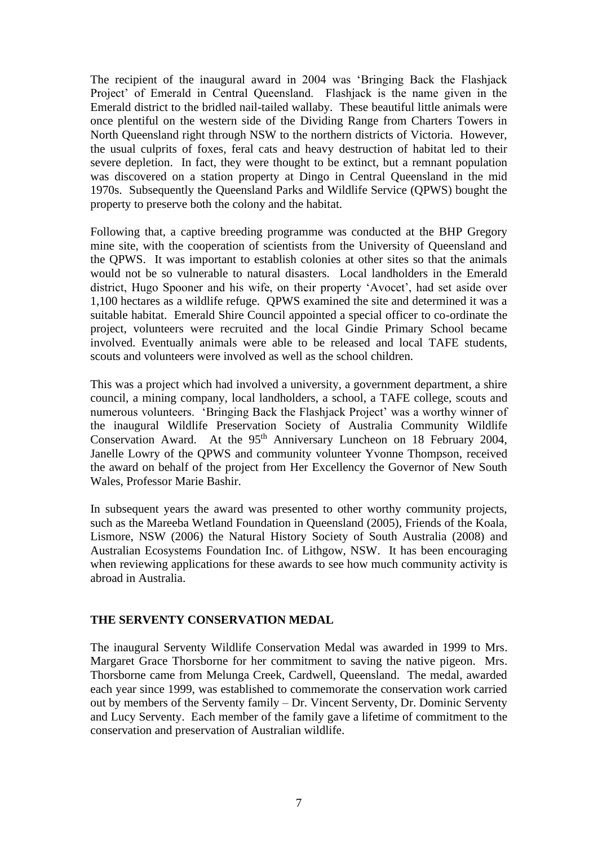The recipient of the inaugural award in 2004 was 'Bringing Back the Flashjack Project' of Emerald in Central Queensland. Flashjack is the name given in the Emerald district to the bridled nail-tailed wallaby. These beautiful little animals were once plentiful on the western side of the Dividing Range from Charters Towers in North Queensland right through NSW to the northern districts of Victoria. However, the usual culprits of foxes, feral cats and heavy destruction of habitat led to their severe depletion. In fact, they were thought to be extinct, but a remnant population was discovered on a station property at Dingo in Central Queensland in the mid 1970s. Subsequently the Queensland Parks and Wildlife Service (QPWS) bought the property to preserve both the colony and the habitat.

Following that, a captive breeding programme was conducted at the BHP Gregory mine site, with the cooperation of scientists from the University of Queensland and the QPWS. It was important to establish colonies at other sites so that the animals would not be so vulnerable to natural disasters. Local landholders in the Emerald district, Hugo Spooner and his wife, on their property 'Avocet', had set aside over 1,100 hectares as a wildlife refuge. QPWS examined the site and determined it was a suitable habitat. Emerald Shire Council appointed a special officer to co-ordinate the project, volunteers were recruited and the local Gindie Primary School became involved. Eventually animals were able to be released and local TAFE students, scouts and volunteers were involved as well as the school children.

This was a project which had involved a university, a government department, a shire council, a mining company, local landholders, a school, a TAFE college, scouts and numerous volunteers. 'Bringing Back the Flashjack Project' was a worthy winner of the inaugural Wildlife Preservation Society of Australia Community Wildlife Conservation Award. At the 95<sup>th</sup> Anniversary Luncheon on 18 February 2004, Janelle Lowry of the QPWS and community volunteer Yvonne Thompson, received the award on behalf of the project from Her Excellency the Governor of New South Wales, Professor Marie Bashir.

In subsequent years the award was presented to other worthy community projects, such as the Mareeba Wetland Foundation in Queensland (2005), Friends of the Koala, Lismore, NSW (2006) the Natural History Society of South Australia (2008) and Australian Ecosystems Foundation Inc. of Lithgow, NSW. It has been encouraging when reviewing applications for these awards to see how much community activity is abroad in Australia.

# **THE SERVENTY CONSERVATION MEDAL**

The inaugural Serventy Wildlife Conservation Medal was awarded in 1999 to Mrs. Margaret Grace Thorsborne for her commitment to saving the native pigeon. Mrs. Thorsborne came from Melunga Creek, Cardwell, Queensland. The medal, awarded each year since 1999, was established to commemorate the conservation work carried out by members of the Serventy family – Dr. Vincent Serventy, Dr. Dominic Serventy and Lucy Serventy. Each member of the family gave a lifetime of commitment to the conservation and preservation of Australian wildlife.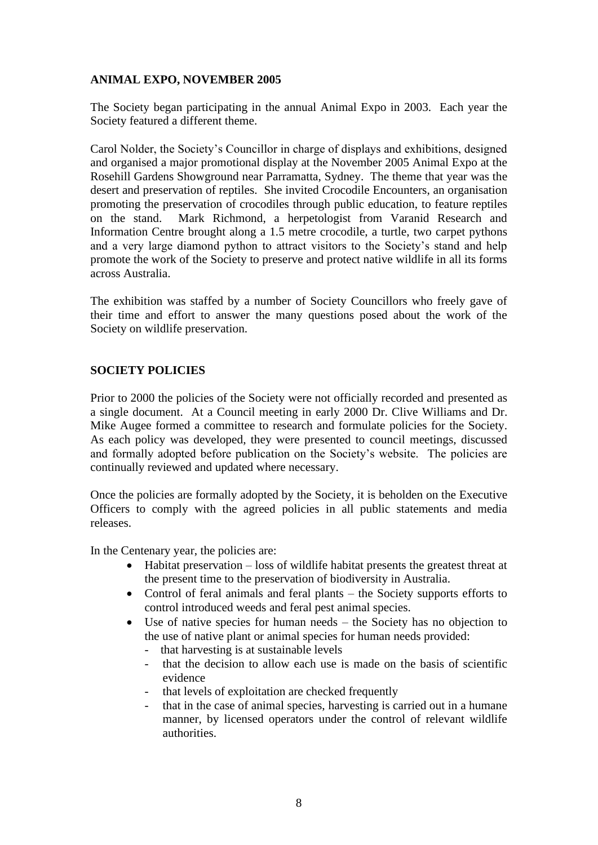# **ANIMAL EXPO, NOVEMBER 2005**

The Society began participating in the annual Animal Expo in 2003. Each year the Society featured a different theme.

Carol Nolder, the Society's Councillor in charge of displays and exhibitions, designed and organised a major promotional display at the November 2005 Animal Expo at the Rosehill Gardens Showground near Parramatta, Sydney. The theme that year was the desert and preservation of reptiles. She invited Crocodile Encounters, an organisation promoting the preservation of crocodiles through public education, to feature reptiles on the stand. Mark Richmond, a herpetologist from Varanid Research and Information Centre brought along a 1.5 metre crocodile, a turtle, two carpet pythons and a very large diamond python to attract visitors to the Society's stand and help promote the work of the Society to preserve and protect native wildlife in all its forms across Australia.

The exhibition was staffed by a number of Society Councillors who freely gave of their time and effort to answer the many questions posed about the work of the Society on wildlife preservation.

# **SOCIETY POLICIES**

Prior to 2000 the policies of the Society were not officially recorded and presented as a single document. At a Council meeting in early 2000 Dr. Clive Williams and Dr. Mike Augee formed a committee to research and formulate policies for the Society. As each policy was developed, they were presented to council meetings, discussed and formally adopted before publication on the Society's website. The policies are continually reviewed and updated where necessary.

Once the policies are formally adopted by the Society, it is beholden on the Executive Officers to comply with the agreed policies in all public statements and media releases.

In the Centenary year, the policies are:

- Habitat preservation loss of wildlife habitat presents the greatest threat at the present time to the preservation of biodiversity in Australia.
- Control of feral animals and feral plants the Society supports efforts to control introduced weeds and feral pest animal species.
- Use of native species for human needs the Society has no objection to the use of native plant or animal species for human needs provided:
	- that harvesting is at sustainable levels
	- that the decision to allow each use is made on the basis of scientific evidence
	- that levels of exploitation are checked frequently
	- that in the case of animal species, harvesting is carried out in a humane manner, by licensed operators under the control of relevant wildlife authorities.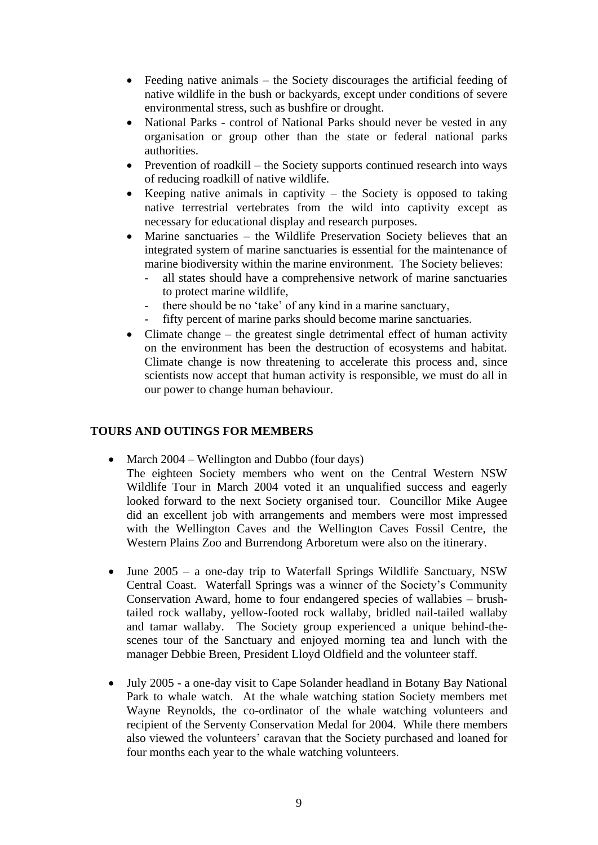- Feeding native animals the Society discourages the artificial feeding of native wildlife in the bush or backyards, except under conditions of severe environmental stress, such as bushfire or drought.
- National Parks control of National Parks should never be vested in any organisation or group other than the state or federal national parks authorities.
- Prevention of roadkill the Society supports continued research into ways of reducing roadkill of native wildlife.
- Keeping native animals in captivity  $-$  the Society is opposed to taking native terrestrial vertebrates from the wild into captivity except as necessary for educational display and research purposes.
- Marine sanctuaries the Wildlife Preservation Society believes that an integrated system of marine sanctuaries is essential for the maintenance of marine biodiversity within the marine environment. The Society believes:
	- all states should have a comprehensive network of marine sanctuaries to protect marine wildlife,
	- there should be no 'take' of any kind in a marine sanctuary,
	- fifty percent of marine parks should become marine sanctuaries.
- Climate change the greatest single detrimental effect of human activity on the environment has been the destruction of ecosystems and habitat. Climate change is now threatening to accelerate this process and, since scientists now accept that human activity is responsible, we must do all in our power to change human behaviour.

# **TOURS AND OUTINGS FOR MEMBERS**

- March 2004 Wellington and Dubbo (four days)
	- The eighteen Society members who went on the Central Western NSW Wildlife Tour in March 2004 voted it an unqualified success and eagerly looked forward to the next Society organised tour. Councillor Mike Augee did an excellent job with arrangements and members were most impressed with the Wellington Caves and the Wellington Caves Fossil Centre, the Western Plains Zoo and Burrendong Arboretum were also on the itinerary.
- June 2005 a one-day trip to Waterfall Springs Wildlife Sanctuary, NSW Central Coast. Waterfall Springs was a winner of the Society's Community Conservation Award, home to four endangered species of wallabies – brushtailed rock wallaby, yellow-footed rock wallaby, bridled nail-tailed wallaby and tamar wallaby. The Society group experienced a unique behind-thescenes tour of the Sanctuary and enjoyed morning tea and lunch with the manager Debbie Breen, President Lloyd Oldfield and the volunteer staff.
- July 2005 a one-day visit to Cape Solander headland in Botany Bay National Park to whale watch. At the whale watching station Society members met Wayne Reynolds, the co-ordinator of the whale watching volunteers and recipient of the Serventy Conservation Medal for 2004. While there members also viewed the volunteers' caravan that the Society purchased and loaned for four months each year to the whale watching volunteers.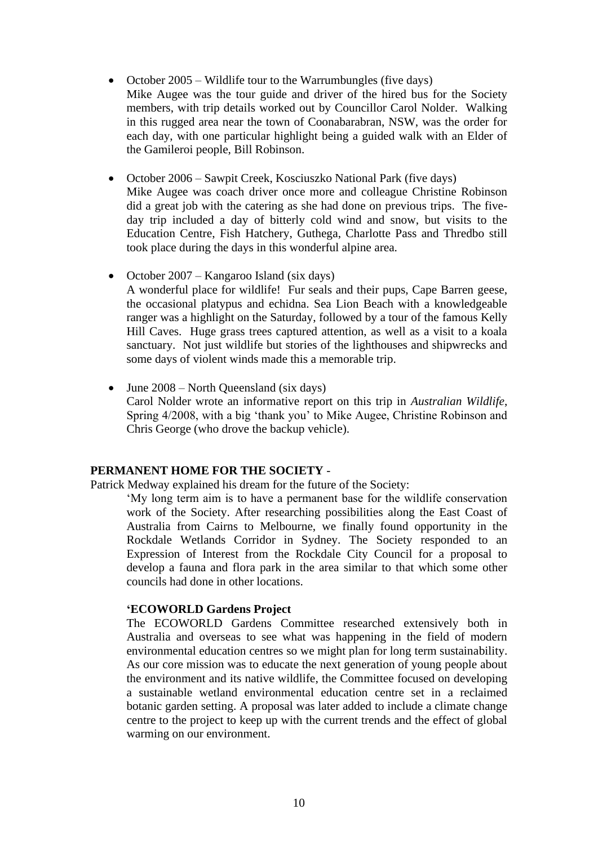- October 2005 Wildlife tour to the Warrumbungles (five days) Mike Augee was the tour guide and driver of the hired bus for the Society members, with trip details worked out by Councillor Carol Nolder. Walking in this rugged area near the town of Coonabarabran, NSW, was the order for each day, with one particular highlight being a guided walk with an Elder of the Gamileroi people, Bill Robinson.
- October 2006 Sawpit Creek, Kosciuszko National Park (five days) Mike Augee was coach driver once more and colleague Christine Robinson did a great job with the catering as she had done on previous trips. The fiveday trip included a day of bitterly cold wind and snow, but visits to the Education Centre, Fish Hatchery, Guthega, Charlotte Pass and Thredbo still took place during the days in this wonderful alpine area.
- October 2007 Kangaroo Island (six days) A wonderful place for wildlife! Fur seals and their pups, Cape Barren geese, the occasional platypus and echidna. Sea Lion Beach with a knowledgeable ranger was a highlight on the Saturday, followed by a tour of the famous Kelly Hill Caves. Huge grass trees captured attention, as well as a visit to a koala sanctuary. Not just wildlife but stories of the lighthouses and shipwrecks and some days of violent winds made this a memorable trip.
- June  $2008$  North Queensland (six days) Carol Nolder wrote an informative report on this trip in *Australian Wildlife*, Spring 4/2008, with a big 'thank you' to Mike Augee, Christine Robinson and Chris George (who drove the backup vehicle).

# **PERMANENT HOME FOR THE SOCIETY** -

Patrick Medway explained his dream for the future of the Society:

'My long term aim is to have a permanent base for the wildlife conservation work of the Society. After researching possibilities along the East Coast of Australia from Cairns to Melbourne, we finally found opportunity in the Rockdale Wetlands Corridor in Sydney. The Society responded to an Expression of Interest from the Rockdale City Council for a proposal to develop a fauna and flora park in the area similar to that which some other councils had done in other locations.

# **'ECOWORLD Gardens Project**

The ECOWORLD Gardens Committee researched extensively both in Australia and overseas to see what was happening in the field of modern environmental education centres so we might plan for long term sustainability. As our core mission was to educate the next generation of young people about the environment and its native wildlife, the Committee focused on developing a sustainable wetland environmental education centre set in a reclaimed botanic garden setting. A proposal was later added to include a climate change centre to the project to keep up with the current trends and the effect of global warming on our environment.